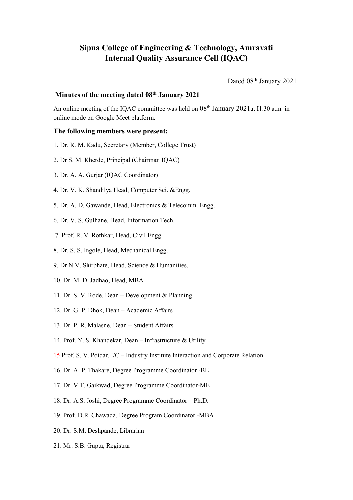# **Sipna College of Engineering & Technology, Amravati Internal Quality Assurance Cell (IQAC)**

Dated 08<sup>th</sup> January 2021

## **Minutes ofthe meeting dated 08 th January 2021**

An online meeting of the IQAC committee was held on 08<sup>th</sup> January 2021at I1.30 a.m. in online mode on Google Meet platform.

#### **The following members were present:**

- 1. Dr. R. M. Kadu, Secretary (Member, College Trust)
- 2. Dr S. M. Kherde, Principal (Chairman IQAC)
- 3. Dr. A. A. Gurjar (IQAC Coordinator)
- 4. Dr. V. K. Shandilya Head, Computer Sci. &Engg.
- 5. Dr. A. D. Gawande, Head, Electronics & Telecomm. Engg.
- 6. Dr. V. S. Gulhane, Head, Information Tech.
- 7. Prof. R. V. Rothkar, Head, Civil Engg.
- 8. Dr. S. S. Ingole, Head, Mechanical Engg.
- 9. Dr N.V. Shirbhate, Head, Science & Humanities.
- 10. Dr. M. D. Jadhao, Head, MBA
- 11. Dr. S. V. Rode, Dean Development & Planning
- 12. Dr. G. P. Dhok, Dean Academic Affairs
- 13. Dr. P. R. Malasne, Dean Student Affairs
- 14. Prof. Y. S. Khandekar, Dean Infrastructure & Utility
- 15 Prof. S. V. Potdar, I/C Industry Institute Interaction and Corporate Relation
- 16. Dr. A. P. Thakare, Degree Programme Coordinator -BE
- 17. Dr. V.T. Gaikwad, Degree Programme Coordinator-ME
- 18. Dr. A.S. Joshi, Degree Programme Coordinator Ph.D.
- 19. Prof. D.R. Chawada, Degree Program Coordinator -MBA
- 20. Dr. S.M. Deshpande, Librarian
- 21. Mr. S.B. Gupta, Registrar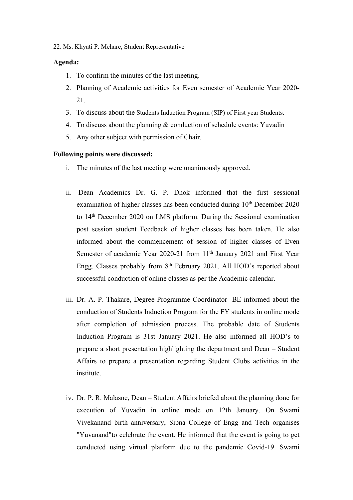22. Ms. Khyati P. Mehare, Student Representative

### **Agenda:**

- 1. To confirm the minutes of the last meeting.
- 2. Planning of Academic activities for Even semester of Academic Year 2020- 21.
- 3. To discuss about the Students Induction Program (SIP) of First year Students.
- 4. To discuss about the planning & conduction of schedule events: Yuvadin
- 5. Any other subject with permission of Chair.

#### **Following points were discussed:**

- i. The minutes of the last meeting were unanimously approved.
- ii. Dean Academics Dr. G. P. Dhok informed that the first sessional examination of higher classes has been conducted during 10<sup>th</sup> December 2020 to 14 th December 2020 on LMS platform. During the Sessional examination post session student Feedback of higher classes has been taken. He also informed about the commencement of session of higher classes of Even Semester of academic Year 2020-21 from 11<sup>th</sup> January 2021 and First Year Engg. Classes probably from 8<sup>th</sup> February 2021. All HOD's reported about successful conduction of online classes as per the Academic calendar.
- iii. Dr. A. P. Thakare, Degree Programme Coordinator -BE informed about the conduction of Students Induction Program for the FY students in online mode after completion of admission process. The probable date of Students Induction Program is 31st January 2021. He also informed all HOD's to prepare a short presentation highlighting the department and Dean – Student Affairs to prepare a presentation regarding Student Clubs activities in the institute.
- iv. Dr. P. R. Malasne, Dean Student Affairs briefed about the planning done for execution of Yuvadin in online mode on 12th January. On Swami Vivekanand birth anniversary, Sipna College of Engg and Tech organises "Yuvanand"to celebrate the event. He informed that the event is going to get conducted using virtual platform due to the pandemic Covid-19. Swami